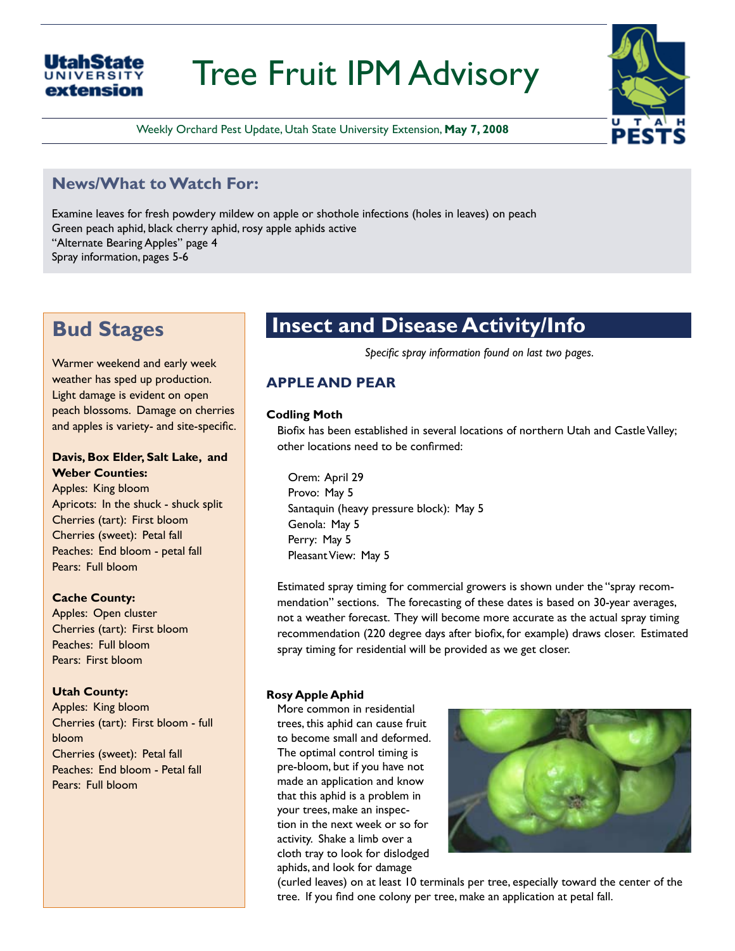# Tree Fruit IPM Advisory

Weekly Orchard Pest Update, Utah State University Extension, **May 7, 2008**

### **News/What to Watch For:**

Examine leaves for fresh powdery mildew on apple or shothole infections (holes in leaves) on peach Green peach aphid, black cherry aphid, rosy apple aphids active "Alternate Bearing Apples" page 4 Spray information, pages 5-6

## **Bud Stages**

**UNIVERSIT** extension

Warmer weekend and early week weather has sped up production. Light damage is evident on open peach blossoms. Damage on cherries and apples is variety- and site-specific.

#### **Davis, Box Elder, Salt Lake, and Weber Counties:**

Apples: King bloom Apricots: In the shuck - shuck split Cherries (tart): First bloom Cherries (sweet): Petal fall Peaches: End bloom - petal fall Pears: Full bloom

#### **Cache County:**

Apples: Open cluster Cherries (tart): First bloom Peaches: Full bloom Pears: First bloom

#### **Utah County:**

Apples: King bloom Cherries (tart): First bloom - full bloom Cherries (sweet): Petal fall Peaches: End bloom - Petal fall Pears: Full bloom

### **Insect and Disease Activity/Info**

*Specific spray information found on last two pages.*

### **APPLE AND PEAR**

#### **Codling Moth**

Biofix has been established in several locations of northern Utah and Castle Valley; other locations need to be confirmed:

Orem: April 29 Provo: May 5 Santaquin (heavy pressure block): May 5 Genola: May 5 Perry: May 5 Pleasant View: May 5

Estimated spray timing for commercial growers is shown under the "spray recommendation" sections. The forecasting of these dates is based on 30-year averages, not a weather forecast. They will become more accurate as the actual spray timing recommendation (220 degree days after biofix, for example) draws closer. Estimated spray timing for residential will be provided as we get closer.

#### **Rosy Apple Aphid**

More common in residential trees, this aphid can cause fruit to become small and deformed. The optimal control timing is pre-bloom, but if you have not made an application and know that this aphid is a problem in your trees, make an inspection in the next week or so for activity. Shake a limb over a cloth tray to look for dislodged aphids, and look for damage



(curled leaves) on at least 10 terminals per tree, especially toward the center of the tree. If you find one colony per tree, make an application at petal fall.

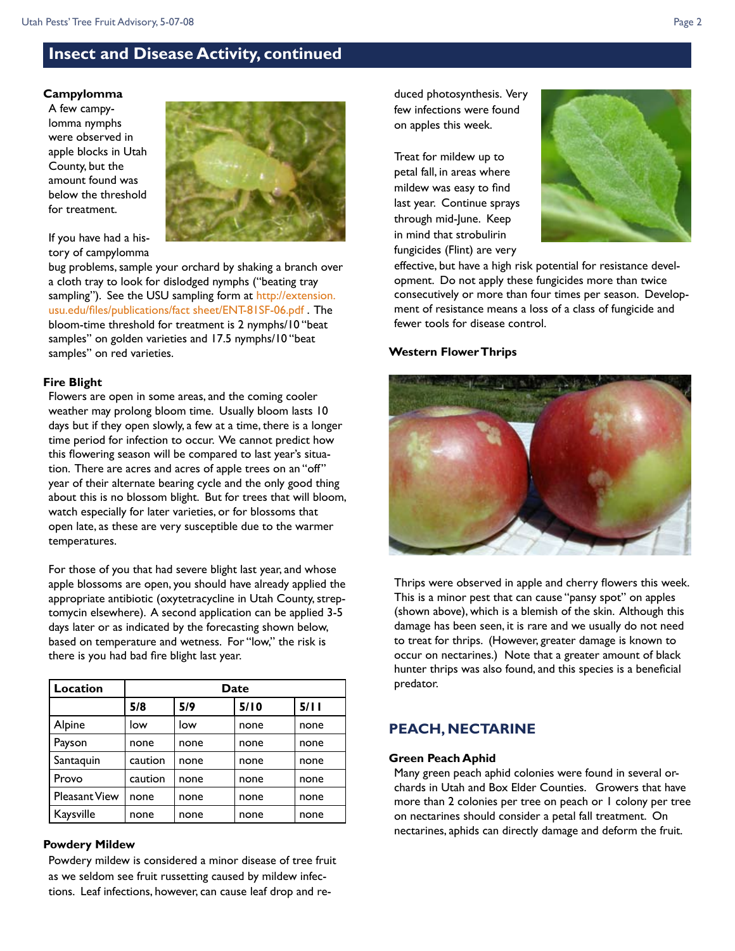### **Insect and Disease Activity, continued**

#### **Campylomma**

A few campylomma nymphs were observed in apple blocks in Utah County, but the amount found was below the threshold for treatment.



If you have had a history of campylomma

bug problems, sample your orchard by shaking a branch over a cloth tray to look for dislodged nymphs ("beating tray sampling"). See the USU sampling form at [http://extension.](http://extension.usu.edu/files/publications/factsheet/sample-campylomma-bug06.pdf) [usu.edu/files/publications/fact sheet/ENT-81SF-06.pd](http://extension.usu.edu/files/publications/factsheet/sample-campylomma-bug06.pdf)f . The bloom-time threshold for treatment is 2 nymphs/10 "beat samples" on golden varieties and 17.5 nymphs/10 "beat samples" on red varieties.

#### **Fire Blight**

Flowers are open in some areas, and the coming cooler weather may prolong bloom time. Usually bloom lasts 10 days but if they open slowly, a few at a time, there is a longer time period for infection to occur. We cannot predict how this flowering season will be compared to last year's situation. There are acres and acres of apple trees on an "off" year of their alternate bearing cycle and the only good thing about this is no blossom blight. But for trees that will bloom, watch especially for later varieties, or for blossoms that open late, as these are very susceptible due to the warmer temperatures.

For those of you that had severe blight last year, and whose apple blossoms are open, you should have already applied the appropriate antibiotic (oxytetracycline in Utah County, streptomycin elsewhere). A second application can be applied 3-5 days later or as indicated by the forecasting shown below, based on temperature and wetness. For "low," the risk is there is you had bad fire blight last year.

| Location             | Date    |      |      |      |
|----------------------|---------|------|------|------|
|                      | 5/8     | 5/9  | 5/10 | 5/11 |
| Alpine               | low     | low  | none | none |
| Payson               | none    | none | none | none |
| Santaquin            | caution | none | none | none |
| Provo                | caution | none | none | none |
| <b>Pleasant View</b> | none    | none | none | none |
| Kaysville            | none    | none | none | none |

#### **Powdery Mildew**

Powdery mildew is considered a minor disease of tree fruit as we seldom see fruit russetting caused by mildew infections. Leaf infections, however, can cause leaf drop and reduced photosynthesis. Very few infections were found on apples this week.

Treat for mildew up to petal fall, in areas where mildew was easy to find last year. Continue sprays through mid-June. Keep in mind that strobulirin fungicides (Flint) are very



effective, but have a high risk potential for resistance development. Do not apply these fungicides more than twice consecutively or more than four times per season. Development of resistance means a loss of a class of fungicide and fewer tools for disease control.

#### **Western Flower Thrips**



Thrips were observed in apple and cherry flowers this week. This is a minor pest that can cause "pansy spot" on apples (shown above), which is a blemish of the skin. Although this damage has been seen, it is rare and we usually do not need to treat for thrips. (However, greater damage is known to occur on nectarines.) Note that a greater amount of black hunter thrips was also found, and this species is a beneficial predator.

#### **PEACH, NECTARINE**

#### **Green Peach Aphid**

Many green peach aphid colonies were found in several orchards in Utah and Box Elder Counties. Growers that have more than 2 colonies per tree on peach or 1 colony per tree on nectarines should consider a petal fall treatment. On nectarines, aphids can directly damage and deform the fruit.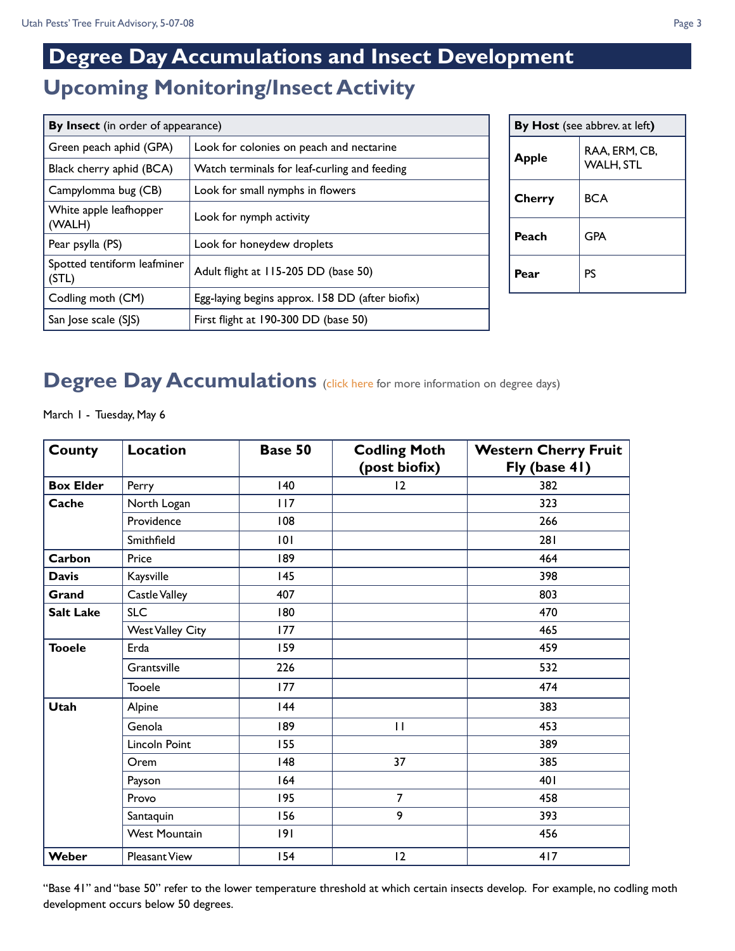## **Upcoming Monitoring/Insect Activity Degree Day Accumulations and Insect Development**

| By Insect (in order of appearance)   |                                                 |  |  |  |
|--------------------------------------|-------------------------------------------------|--|--|--|
| Green peach aphid (GPA)              | Look for colonies on peach and nectarine        |  |  |  |
| Black cherry aphid (BCA)             | Watch terminals for leaf-curling and feeding    |  |  |  |
| Campylomma bug (CB)                  | Look for small nymphs in flowers                |  |  |  |
| White apple leafhopper<br>(WALH)     | Look for nymph activity                         |  |  |  |
| Pear psylla (PS)                     | Look for honeydew droplets                      |  |  |  |
| Spotted tentiform leafminer<br>(STL) | Adult flight at 115-205 DD (base 50)            |  |  |  |
| Codling moth (CM)                    | Egg-laying begins approx. 158 DD (after biofix) |  |  |  |
| San Jose scale (SJS)                 | First flight at $190-300$ DD (base 50)          |  |  |  |

| By Host (see abbrev. at left) |                                   |  |  |
|-------------------------------|-----------------------------------|--|--|
| Apple                         | RAA, ERM, CB,<br><b>WALH, STL</b> |  |  |
| Cherry                        | <b>BCA</b>                        |  |  |
| Peach                         | <b>GPA</b>                        |  |  |
| Pear                          | PS                                |  |  |

## **Degree Day Accumulations** [\(click here](http://extension.usu.edu/files/publications/factsheet/degree-days08.pdf) for more information on degree days)

March 1 - Tuesday, May 6

| <b>County</b>    | Location                | Base 50 | <b>Codling Moth</b><br>(post biofix) | <b>Western Cherry Fruit</b><br>Fly (base 41) |
|------------------|-------------------------|---------|--------------------------------------|----------------------------------------------|
| <b>Box Elder</b> | Perry                   | 140     | 12                                   | 382                                          |
| Cache            | North Logan             | 117     |                                      | 323                                          |
|                  | Providence              | 108     |                                      | 266                                          |
|                  | Smithfield              | 101     |                                      | 281                                          |
| Carbon           | Price                   | 189     |                                      | 464                                          |
| <b>Davis</b>     | Kaysville               | 145     |                                      | 398                                          |
| Grand            | Castle Valley           | 407     |                                      | 803                                          |
| <b>Salt Lake</b> | <b>SLC</b>              | 180     |                                      | 470                                          |
|                  | <b>West Valley City</b> | 177     |                                      | 465                                          |
| <b>Tooele</b>    | Erda                    | 159     |                                      | 459                                          |
|                  | Grantsville             | 226     |                                      | 532                                          |
|                  | Tooele                  | 177     |                                      | 474                                          |
| <b>Utah</b>      | Alpine                  | 144     |                                      | 383                                          |
|                  | Genola                  | 189     | П                                    | 453                                          |
|                  | Lincoln Point           | 155     |                                      | 389                                          |
|                  | Orem                    | 148     | 37                                   | 385                                          |
|                  | Payson                  | 164     |                                      | 401                                          |
|                  | Provo                   | 195     | $\overline{7}$                       | 458                                          |
|                  | Santaquin               | 156     | 9                                    | 393                                          |
|                  | <b>West Mountain</b>    | 9       |                                      | 456                                          |
| Weber            | <b>Pleasant View</b>    | 154     | 2                                    | 417                                          |

"Base 41" and "base 50" refer to the lower temperature threshold at which certain insects develop. For example, no codling moth development occurs below 50 degrees.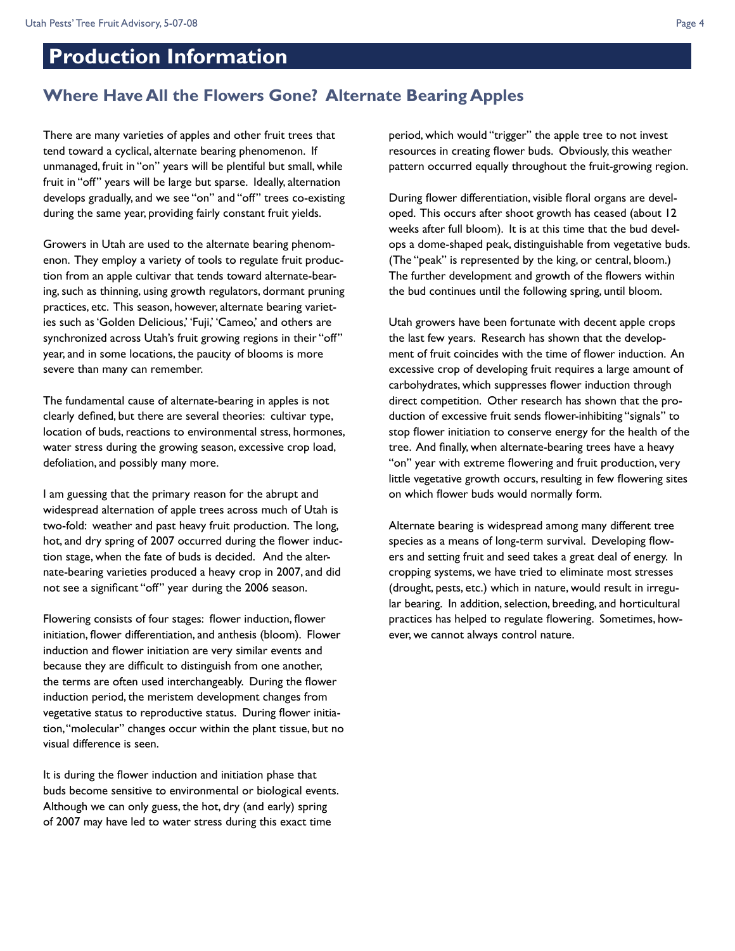### **Production Information**

### **Where Have All the Flowers Gone? Alternate Bearing Apples**

There are many varieties of apples and other fruit trees that tend toward a cyclical, alternate bearing phenomenon. If unmanaged, fruit in "on" years will be plentiful but small, while fruit in "off" years will be large but sparse. Ideally, alternation develops gradually, and we see "on" and "off" trees co-existing during the same year, providing fairly constant fruit yields.

Growers in Utah are used to the alternate bearing phenomenon. They employ a variety of tools to regulate fruit production from an apple cultivar that tends toward alternate-bearing, such as thinning, using growth regulators, dormant pruning practices, etc. This season, however, alternate bearing varieties such as 'Golden Delicious,' 'Fuji,' 'Cameo,' and others are synchronized across Utah's fruit growing regions in their "off" year, and in some locations, the paucity of blooms is more severe than many can remember.

The fundamental cause of alternate-bearing in apples is not clearly defined, but there are several theories: cultivar type, location of buds, reactions to environmental stress, hormones, water stress during the growing season, excessive crop load, defoliation, and possibly many more.

I am guessing that the primary reason for the abrupt and widespread alternation of apple trees across much of Utah is two-fold: weather and past heavy fruit production. The long, hot, and dry spring of 2007 occurred during the flower induction stage, when the fate of buds is decided. And the alternate-bearing varieties produced a heavy crop in 2007, and did not see a significant "off" year during the 2006 season.

Flowering consists of four stages: flower induction, flower initiation, flower differentiation, and anthesis (bloom). Flower induction and flower initiation are very similar events and because they are difficult to distinguish from one another, the terms are often used interchangeably. During the flower induction period, the meristem development changes from vegetative status to reproductive status. During flower initiation, "molecular" changes occur within the plant tissue, but no visual difference is seen.

It is during the flower induction and initiation phase that buds become sensitive to environmental or biological events. Although we can only guess, the hot, dry (and early) spring of 2007 may have led to water stress during this exact time

period, which would "trigger" the apple tree to not invest resources in creating flower buds. Obviously, this weather pattern occurred equally throughout the fruit-growing region.

During flower differentiation, visible floral organs are developed. This occurs after shoot growth has ceased (about 12 weeks after full bloom). It is at this time that the bud develops a dome-shaped peak, distinguishable from vegetative buds. (The "peak" is represented by the king, or central, bloom.) The further development and growth of the flowers within the bud continues until the following spring, until bloom.

Utah growers have been fortunate with decent apple crops the last few years. Research has shown that the development of fruit coincides with the time of flower induction. An excessive crop of developing fruit requires a large amount of carbohydrates, which suppresses flower induction through direct competition. Other research has shown that the production of excessive fruit sends flower-inhibiting "signals" to stop flower initiation to conserve energy for the health of the tree. And finally, when alternate-bearing trees have a heavy "on" year with extreme flowering and fruit production, very little vegetative growth occurs, resulting in few flowering sites on which flower buds would normally form.

Alternate bearing is widespread among many different tree species as a means of long-term survival. Developing flowers and setting fruit and seed takes a great deal of energy. In cropping systems, we have tried to eliminate most stresses (drought, pests, etc.) which in nature, would result in irregular bearing. In addition, selection, breeding, and horticultural practices has helped to regulate flowering. Sometimes, however, we cannot always control nature.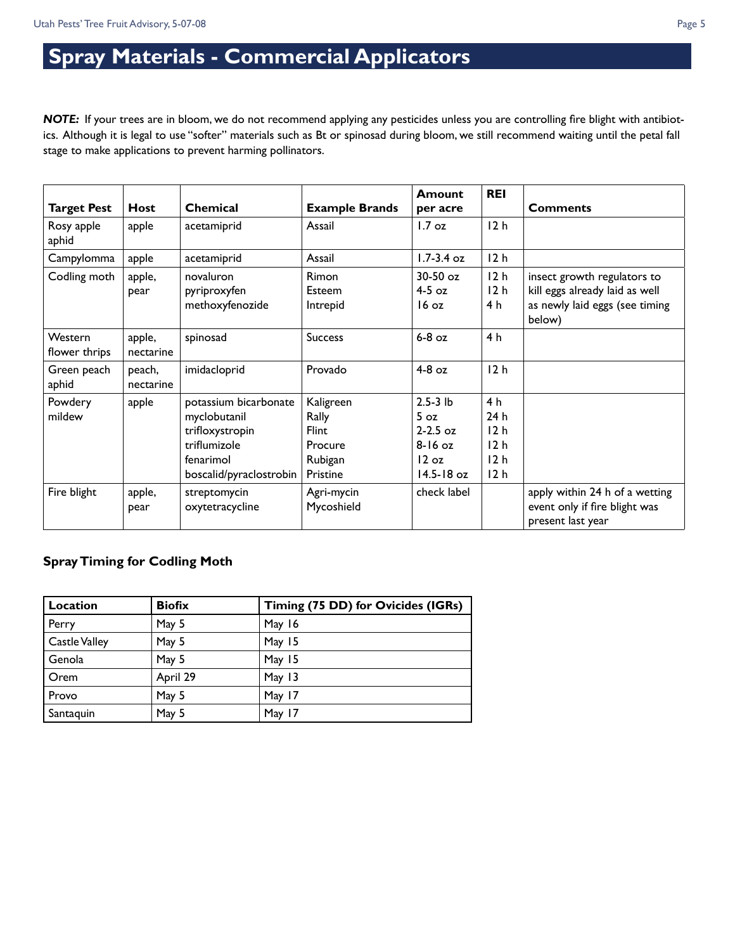## **Spray Materials - Commercial Applicators**

*NOTE:* If your trees are in bloom, we do not recommend applying any pesticides unless you are controlling fire blight with antibiotics. Although it is legal to use "softer" materials such as Bt or spinosad during bloom, we still recommend waiting until the petal fall stage to make applications to prevent harming pollinators.

| <b>Target Pest</b>       | <b>Host</b>         | Chemical                                                                                                         | <b>Example Brands</b>                                         | <b>Amount</b>                                                                           | <b>REI</b>                                | <b>Comments</b>                                                                                           |
|--------------------------|---------------------|------------------------------------------------------------------------------------------------------------------|---------------------------------------------------------------|-----------------------------------------------------------------------------------------|-------------------------------------------|-----------------------------------------------------------------------------------------------------------|
| Rosy apple<br>aphid      | apple               | acetamiprid                                                                                                      | Assail                                                        | per acre<br>$1.7 \text{ oz}$                                                            | 12 <sub>h</sub>                           |                                                                                                           |
| Campylomma               | apple               | acetamiprid                                                                                                      | Assail                                                        | $1.7 - 3.4$ oz                                                                          | 12h                                       |                                                                                                           |
| Codling moth             | apple,<br>pear      | novaluron<br>pyriproxyfen<br>methoxyfenozide                                                                     | Rimon<br>Esteem<br>Intrepid                                   | $30-50$ oz<br>$4-5$ oz<br>$16 \text{ oz}$                                               | 12 <sub>h</sub><br>12 <sub>h</sub><br>4 h | insect growth regulators to<br>kill eggs already laid as well<br>as newly laid eggs (see timing<br>below) |
| Western<br>flower thrips | apple,<br>nectarine | spinosad                                                                                                         | <b>Success</b>                                                | $6-8$ oz                                                                                | 4 h                                       |                                                                                                           |
| Green peach<br>aphid     | peach,<br>nectarine | imidacloprid                                                                                                     | Provado                                                       | $4-8$ oz                                                                                | 12h                                       |                                                                                                           |
| Powdery<br>mildew        | apple               | potassium bicarbonate<br>myclobutanil<br>trifloxystropin<br>triflumizole<br>fenarimol<br>boscalid/pyraclostrobin | Kaligreen<br>Rally<br>Flint<br>Procure<br>Rubigan<br>Pristine | $2.5 - 3$ lb<br>5 <sub>oz</sub><br>$2 - 2.5$ oz<br>$8-16$ oz<br>12 oz<br>$14.5 - 18$ oz | 4 h<br>24 h<br>12h<br>12h<br>12h<br>12h   |                                                                                                           |
| Fire blight              | apple,<br>pear      | streptomycin<br>oxytetracycline                                                                                  | Agri-mycin<br>Mycoshield                                      | check label                                                                             |                                           | apply within 24 h of a wetting<br>event only if fire blight was<br>present last year                      |

#### **Spray Timing for Codling Moth**

| Location             | <b>Biofix</b> | Timing (75 DD) for Ovicides (IGRs) |
|----------------------|---------------|------------------------------------|
| Perry                | May 5         | May 16                             |
| <b>Castle Valley</b> | May 5         | May 15                             |
| Genola               | May 5         | May 15                             |
| Orem                 | April 29      | May 13                             |
| Provo                | May 5         | May 17                             |
| Santaquin            | May 5         | May 17                             |